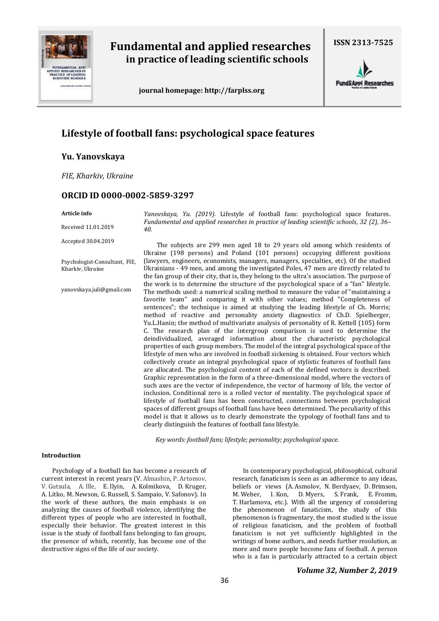

# **Fundamental and applied researches in practice of leading scientific schools**

 **journal homepage[: http://farplss.org](http://farplss.org/)**



**Fund&Appl Researches** 

# **Lifestyle of football fans: psychological space features**

**Yu. Yanovskaya**

*FIE, Kharkiv, Ukraine*

# **ORCID ID 0000-0002-5859-3297**

#### **Article info**

Received 11.01.2019

Accepted 30.04.2019

Psychologist-Consultant, FIE, Kharkiv, Ukraine

yanovskaya.juli@gmail.com

*Yanovskaya, Yu. (2019).* Lifestyle of football fans: psychological space features. *Fundamental and applied researches in practice of leading scientific schools, 32 (2), 36– 40.*

The subjects are 299 men aged 18 to 29 years old among which residents of Ukraine (198 persons) and Poland (101 persons) occupying different positions (lawyers, engineers, economists, managers, managers, specialties, etc). Of the studied Ukrainians - 49 men, and among the investigated Poles, 47 men are directly related to the fan group of their city, that is, they belong to the ultra's association. The purpose of the work is to determine the structure of the psychological space of a "fan" lifestyle. The methods used: a numerical scaling method to measure the value of "maintaining a favorite team" and comparing it with other values; method "Completeness of sentences"; the technique is aimed at studying the leading lifestyle of Ch. Morris; method of reactive and personality anxiety diagnostics of Ch.D. Spielberger, Yu.L.Hanin; the method of multivariate analysis of personality of R. Kettell (105) form C. The research plan of the intergroup comparison is used to determine the deindividualized, averaged information about the characteristic psychological properties of each group members. The model of the integral psychological space of the lifestyle of men who are involved in football sickening is obtained. Four vectors which collectively create an integral psychological space of stylistic features of football fans are allocated. The psychological content of each of the defined vectors is described. Graphic representation in the form of a three-dimensional model, where the vectors of such axes are the vector of independence, the vector of harmony of life, the vector of inclusion. Conditional zero is a rolled vector of mentality. The psychological space of lifestyle of football fans has been constructed, connections between psychological spaces of different groups of football fans have been determined. The peculiarity of this model is that it allows us to clearly demonstrate the typology of football fans and to clearly distinguish the features of football fans lifestyle.

*Key words: football fans; lifestyle; personality; psychological space.*

## **Introduction**

Psychology of a football fan has become a research of current interest in recent years (V. Almashin, P. Artomov, V. Gutsula, A. Ille, E. Ilyin, A. Kolmikova, D. Kruger, A. Litko, M. Newson, G. Russell, S. Sampaio, V. Safonov). In the work of these authors, the main emphasis is on analyzing the causes of football violence, identifying the different types of people who are interested in football, especially their behavior. The greatest interest in this issue is the study of football fans belonging to fan groups, the presence of which, recently, has become one of the destructive signs of the life of our society.

In contemporary psychological, philosophical, cultural research, fanaticism is seen as an adherence to any ideas, beliefs or views (A. Asmolov, N. Berdyaev, D. Brimson, M. Weber, I. Kon, D. Myers, S. Frank, E. Fromm, T. Harlamova, etc.). With all the urgency of considering the phenomenon of fanaticism, the study of this phenomenon is fragmentary, the most studied is the issue of religious fanaticism, and the problem of football fanaticism is not yet sufficiently highlighted in the writings of home authors, and needs further resolution, as more and more people become fans of football. A person who is a fan is particularly attracted to a certain object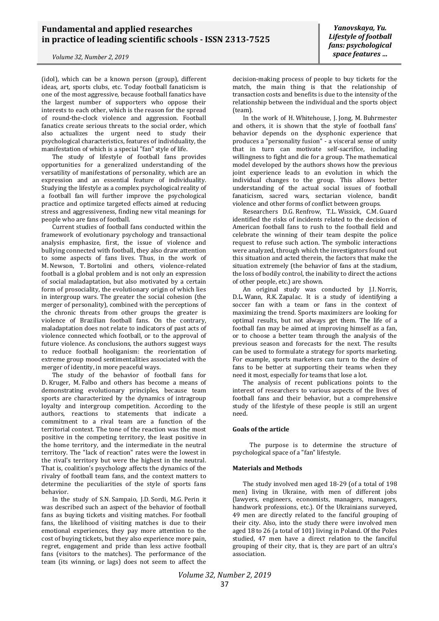*Yanovskaya, Yu. Lifestyle of football fans: psychological space features …*

(idol), which can be a known person (group), different ideas, art, sports clubs, etc. Today football fanaticism is one of the most aggressive, because football fanatics have the largest number of supporters who oppose their interests to each other, which is the reason for the spread of round-the-clock violence and aggression. Football fanatics create serious threats to the social order, which also actualizes the urgent need to study their psychological characteristics, features of individuality, the manifestation of which is a special "fan" style of life.

The study of lifestyle of football fans provides opportunities for a generalized understanding of the versatility of manifestations of personality, which are an expression and an essential feature of individuality. Studying the lifestyle as a complex psychological reality of a football fan will further improve the psychological practice and optimize targeted effects aimed at reducing stress and aggressiveness, finding new vital meanings for people who are fans of football.

Current studies of football fans conducted within the framework of evolutionary psychology and transactional analysis emphasize, first, the issue of violence and bullying connected with football, they also draw attention to some aspects of fans lives. Thus, in the work of M. Newson, T. Bortolini and others, violence-related football is a global problem and is not only an expression of social maladaptation, but also motivated by a certain form of prosociality, the evolutionary origin of which lies in intergroup wars. The greater the social cohesion (the merger of personality), combined with the perceptions of the chronic threats from other groups the greater is violence of Brazilian football fans. On the contrary, maladaptation does not relate to indicators of past acts of violence connected which football, or to the approval of future violence. As conclusions, the authors suggest ways to reduce football hooliganism: the reorientation of extreme group mood sentimentalities associated with the merger of identity, in more peaceful ways.

The study of the behavior of football fans for D. Kruger, M. Falbo and others has become a means of demonstrating evolutionary principles, because team sports are characterized by the dynamics of intragroup loyalty and intergroup competition. According to the authors, reactions to statements that indicate a commitment to a rival team are a function of the territorial context. The tone of the reaction was the most positive in the competing territory, the least positive in the home territory, and the intermediate in the neutral territory. The "lack of reaction" rates were the lowest in the rival's territory but were the highest in the neutral. That is, coalition's psychology affects the dynamics of the rivalry of football team fans, and the context matters to determine the peculiarities of the style of sports fans behavior.

In the study of S.N. Sampaio, J.D. Sordi, M.G. Perin it was described such an aspect of the behavior of football fans as buying tickets and visiting matches. For football fans, the likelihood of visiting matches is due to their emotional experiences, they pay more attention to the cost of buying tickets, but they also experience more pain, regret, engagement and pride than less active football fans (visitors to the matches). The performance of the team (its winning, or lags) does not seem to affect the

decision-making process of people to buy tickets for the match, the main thing is that the relationship of transaction costs and benefits is due to the intensity of the relationship between the individual and the sports object (team).

In the work of H. Whitehouse, J. Jong, M. Buhrmester and others, it is shown that the style of football fans' behavior depends on the dysphonic experience that produces a "personality fusion" - a visceral sense of unity that in turn can motivate self-sacrifice, including willingness to fight and die for a group. The mathematical model developed by the authors shows how the previous joint experience leads to an evolution in which the individual changes to the group. This allows better understanding of the actual social issues of football fanaticism, sacred wars, sectarian violence, bandit violence and other forms of conflict between groups.

Researchers D.G. Renfrow, T.L. Wissick, C.M. Guard identified the risks of incidents related to the decision of American football fans to rush to the football field and celebrate the winning of their team despite the police request to refuse such action. The symbolic interactions were analyzed, through which the investigators found out this situation and acted therein, the factors that make the situation extremely (the behavior of fans at the stadium, the loss of bodily control, the inability to direct the actions of other people, etc.) are shown.

An original study was conducted by J.I. Norris, D.L. Wann, R.K. Zapalac. It is a study of identifying a soccer fan with a team or fans in the context of maximizing the trend. Sports maximizers are looking for optimal results, but not always get them. The life of a football fan may be aimed at improving himself as a fan, or to choose a better team through the analysis of the previous season and forecasts for the next. The results can be used to formulate a strategy for sports marketing. For example, sports marketers can turn to the desire of fans to be better at supporting their teams when they need it most, especially for teams that lose a lot.

The analysis of recent publications points to the interest of researchers to various aspects of the lives of football fans and their behavior, but a comprehensive study of the lifestyle of these people is still an urgent need.

## **Goals of the article**

The purpose is to determine the structure of psychological space of a "fan" lifestyle.

#### **Materials and Methods**

The study involved men aged 18-29 (of a total of 198 men) living in Ukraine, with men of different jobs (lawyers, engineers, economists, managers, managers, handwork professions, etc.). Of the Ukrainians surveyed, 49 men are directly related to the fanciful grouping of their city. Also, into the study there were involved men aged 18 to 26 (a total of 101) living in Poland. Of the Poles studied, 47 men have a direct relation to the fanciful grouping of their city, that is, they are part of an ultra's association.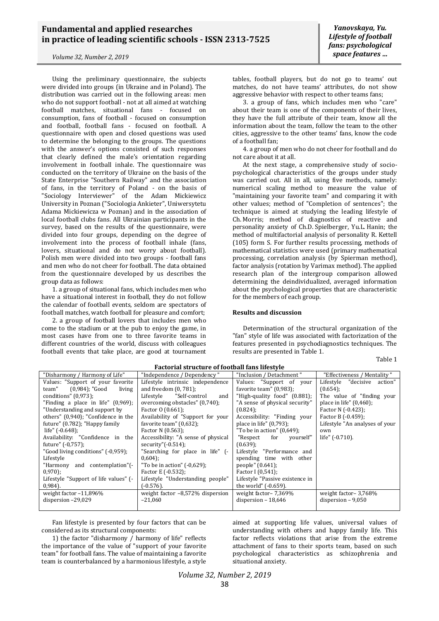*Yanovskaya, Yu. Lifestyle of football fans: psychological space features …*

Using the preliminary questionnaire, the subjects were divided into groups (in Ukraine and in Poland). The distribution was carried out in the following areas: men who do not support football - not at all aimed at watching football matches, situational fans - focused on consumption, fans of football - focused on consumption and football, football fans - focused on football. A questionnaire with open and closed questions was used to determine the belonging to the groups. The questions with the answer's options consisted of such responses that clearly defined the male's orientation regarding involvement in football inhale. The questionnaire was conducted on the territory of Ukraine on the basis of the State Enterprise "Southern Railway" and the association of fans, in the territory of Poland - on the basis of "Sociology Interviewer" of the Adam Mickiewicz University in Poznan ("Sociologia Ankieter", Uniwersytetu Adama Mickiewicza w Poznan) and in the association of local football clubs fans. All Ukrainian participants in the survey, based on the results of the questionnaire, were divided into four groups, depending on the degree of involvement into the process of football inhale (fans, lovers, situational and do not worry about football). Polish men were divided into two groups - football fans and men who do not cheer for football. The data obtained from the questionnaire developed by us describes the group data as follows:

1. a group of situational fans, which includes men who have a situational interest in football, they do not follow the calendar of football events, seldom are spectators of football matches, watch football for pleasure and comfort;

2. a group of football lovers that includes men who come to the stadium or at the pub to enjoy the game, in most cases have from one to three favorite teams in different countries of the world, discuss with colleagues football events that take place, are good at tournament tables, football players, but do not go to teams' out matches, do not have teams' attributes, do not show aggressive behavior with respect to other teams fans;

3. a group of fans, which includes men who "care" about their team is one of the components of their lives, they have the full attribute of their team, know all the information about the team, follow the team to the other cities, aggressive to the other teams' fans, know the code of a football fan;

4. a group of men who do not cheer for football and do not care about it at all.

At the next stage, a comprehensive study of sociopsychological characteristics of the groups under study was carried out. All in all, using five methods, namely: numerical scaling method to measure the value of "maintaining your favorite team" and comparing it with other values; method of "Completion of sentences"; the technique is aimed at studying the leading lifestyle of Ch. Morris; method of diagnostics of reactive and personality anxiety of Ch.D. Spielberger, Yu.L. Hanin; the method of multifactorial analysis of personality R. Kettell (105) form S. For further results processing, methods of mathematical statistics were used (primary mathematical processing, correlation analysis (by Spierman method), factor analysis (rotation by Varimax method). The applied research plan of the intergroup comparison allowed determining the deindividualized, averaged information about the psychological properties that are characteristic for the members of each group.

#### **Results and discussion**

Determination of the structural organization of the "fan" style of life was associated with factorization of the features presented in psychodiagnostics techniques. The results are presented in Table 1.

Table 1

| Factorial structure of lootball lans lilestyle |                                     |                                 |                                |
|------------------------------------------------|-------------------------------------|---------------------------------|--------------------------------|
| "Disharmony / Harmony of Life"                 | "Independence / Dependency"         | "Inclusion / Detachment"        | "Effectiveness / Mentality "   |
| Values: "Support of your favorite              | Lifestyle intrinsic independence    | Values: "Support of your        | "decisive action"<br>Lifestyle |
| (0,984); "Good<br>team"<br>living              | and freedom $(0, 781)$ ;            | favorite team" (0,983);         | $(0.654)$ ;                    |
| conditions" $(0.973)$ ;                        | "Self-control<br>Lifestyle<br>and   | "High-quality food" (0.881);    | The value of "finding your     |
| "Finding a place in life" (0,969);             | overcoming obstacles" (0,740);      | "A sense of physical security"  | place in life" $(0,460)$ ;     |
| "Understanding and support by                  | Factor $0(0.661)$ ;                 | $(0.824)$ ;                     | Factor N (-0.423);             |
| others" (0,940); "Confidence in the            | Availability of "Support for your   | Accessibility: "Finding your    | Factor B (-0.459);             |
| future" (0.782); "Happy family                 | favorite team" $(0.632)$ ;          | place in life" (0,793);         | Lifestyle "An analyses of your |
| life" $(-0.648)$ ;                             | Factor N (0.563);                   | "To be in action" (0,649);      | own                            |
| Availability: "Confidence in the               | Accessibility: "A sense of physical | "Respect<br>for<br>yourself"    | life" $(-0.710)$ .             |
| future" (-0,757);                              | security" $(-0.514)$ ;              | (0.639);                        |                                |
| "Good living conditions" (-0,959);             | "Searching for place in life" (-    | Lifestyle "Performance and      |                                |
| Lifestyle                                      | $0,604$ :                           | spending time with other        |                                |
| "Harmony and contemplation"(-                  | "To be in action" $(-0.629)$ ;      | people" (0.641);                |                                |
| $0,970$ ;                                      | Factor E (-0.532);                  | Factor I (0,541);               |                                |
| Lifestyle "Support of life values" (-          | Lifestyle "Understanding people"    | Lifestyle "Passive existence in |                                |
| $0,984$ ).                                     | (-0.576).                           | the world" (-0.659).            |                                |
| weight factor $-11,896\%$                      | weight factor $-8,572\%$ dispersion | weight factor- 7,369%           | weight factor-3,768%           |
| dispersion -29,029                             | $-21,060$                           | dispersion $-18,646$            | dispersion $-9,050$            |
|                                                |                                     |                                 |                                |

#### **Factorial structure of football fans lifestyle**

Fan lifestyle is presented by four factors that can be considered as its structural components:

1) the factor "disharmony / harmony of life" reflects the importance of the value of "support of your favorite team" for football fans. The value of maintaining a favorite team is counterbalanced by a harmonious lifestyle, a style

aimed at supporting life values, universal values of understanding with others and happy family life. This factor reflects violations that arise from the extreme attachment of fans to their sports team, based on such psychological characteristics as schizophrenia and situational anxiety.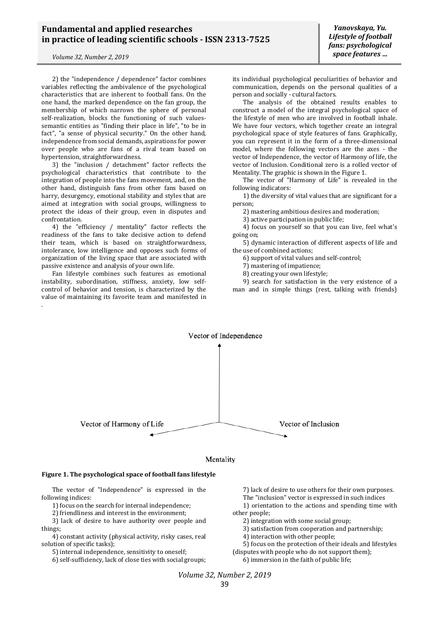2) the "independence / dependence" factor combines variables reflecting the ambivalence of the psychological characteristics that are inherent to football fans. On the one hand, the marked dependence on the fan group, the membership of which narrows the sphere of personal self-realization, blocks the functioning of such valuessemantic entities as "finding their place in life", "to be in fact", "a sense of physical security." On the other hand, independence from social demands, aspirations for power over people who are fans of a rival team based on hypertension, straightforwardness.

3) the "inclusion / detachment" factor reflects the psychological characteristics that contribute to the integration of people into the fans movement, and, on the other hand, distinguish fans from other fans based on harry, desurgency, emotional stability and styles that are aimed at integration with social groups, willingness to protect the ideas of their group, even in disputes and confrontation.

4) the "efficiency / mentality" factor reflects the readiness of the fans to take decisive action to defend their team, which is based on straightforwardness, intolerance, low intelligence and opposes such forms of organization of the living space that are associated with passive existence and analysis of your own life.

Fan lifestyle combines such features as emotional instability, subordination, stiffness, anxiety, low selfcontrol of behavior and tension, is characterized by the value of maintaining its favorite team and manifested in .

its individual psychological peculiarities of behavior and communication, depends on the personal qualities of a person and socially - cultural factors.

The analysis of the obtained results enables to construct a model of the integral psychological space of the lifestyle of men who are involved in football inhale. We have four vectors, which together create an integral psychological space of style features of fans. Graphically, you can represent it in the form of a three-dimensional model, where the following vectors are the axes - the vector of Independence, the vector of Harmony of life, the vector of Inclusion. Conditional zero is a rolled vector of Mentality. The graphic is shown in the Figure 1.

The vector of "Harmony of Life" is revealed in the following indicators:

1) the diversity of vital values that are significant for a person;

2) mastering ambitious desires and moderation;

3) active participation in public life;

4) focus on yourself so that you can live, feel what's going on;

5) dynamic interaction of different aspects of life and the use of combined actions;

6) support of vital values and self-control;

7) mastering of impatience;

8) creating your own lifestyle;

9) search for satisfaction in the very existence of a man and in simple things (rest, talking with friends)





## **Figure 1. The psychological space of football fans lifestyle**

The vector of "Independence" is expressed in the following indices:

1) focus on the search for internal independence;

2) friendliness and interest in the environment;

3) lack of desire to have authority over people and things;

4) constant activity (physical activity, risky cases, real solution of specific tasks);

5) internal independence, sensitivity to oneself;

6) self-sufficiency, lack of close ties with social groups;

7) lack of desire to use others for their own purposes. The "inclusion" vector is expressed in such indices 1) orientation to the actions and spending time with other people;

- 2) integration with some social group;
- 3) satisfaction from cooperation and partnership;
- 4) interaction with other people;

5) focus on the protection of their ideals and lifestyles

(disputes with people who do not support them);

6) immersion in the faith of public life;